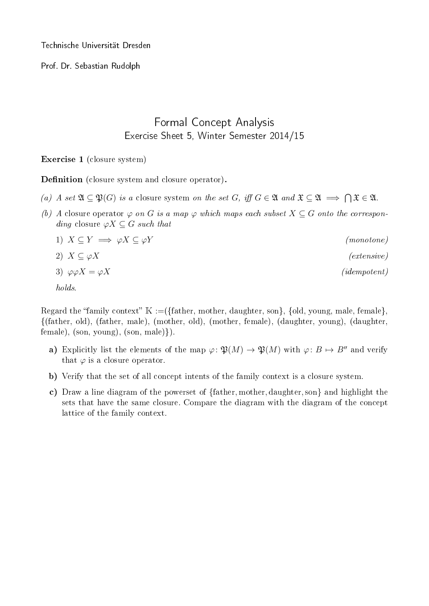Technische Universität Dresden

Prof. Dr. Sebastian Rudolph

## Formal Concept Analysis Exercise Sheet 5, Winter Semester 2014/15

## Exercise 1 (closure system)

Definition (closure system and closure operator).

- (a) A set  $\mathfrak{A} \subseteq \mathfrak{P}(G)$  is a closure system on the set G, iff  $G \in \mathfrak{A}$  and  $\mathfrak{X} \subseteq \mathfrak{A} \implies \bigcap \mathfrak{X} \in \mathfrak{A}$ .
- (b) A closure operator  $\varphi$  on G is a map  $\varphi$  which maps each subset  $X \subseteq G$  onto the corresponding closure  $\varphi X \subseteq G$  such that
	- 1)  $X \subseteq Y \implies \varphi X \subseteq \varphi Y$  (monotone) 2)  $X \subseteq \varphi X$  (extensive) 3)  $\varphi \varphi X = \varphi X$  (idempotent)

holds.

Regard the "family context"  $\mathbb{K} := (\{\text{father, mother, daughter, son}\}, \{\text{old, young, male, female}\},\$ {(father, old), (father, male), (mother, old), (mother, female), (daughter, young), (daughter,  $female), (son, young), (son, male)\}.$ 

- a) Explicitly list the elements of the map  $\varphi \colon \mathfrak{P}(M) \to \mathfrak{P}(M)$  with  $\varphi \colon B \mapsto B''$  and verify that  $\varphi$  is a closure operator.
- b) Verify that the set of all concept intents of the family context is a closure system.
- c) Draw a line diagram of the powerset of {father, mother, daughter, son} and highlight the sets that have the same closure. Compare the diagram with the diagram of the concept lattice of the family context.